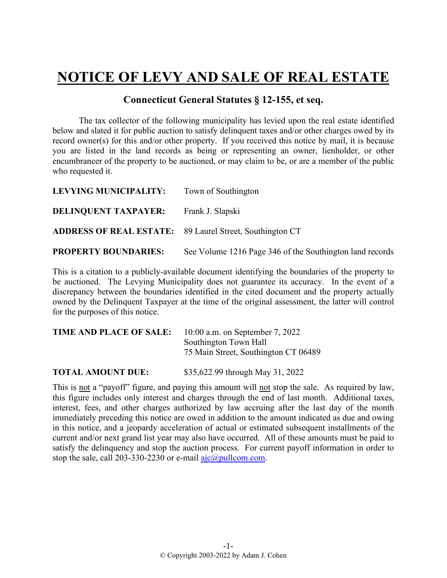## **NOTICE OF LEVY AND SALE OF REAL ESTATE**

## **Connecticut General Statutes § 12-155, et seq.**

The tax collector of the following municipality has levied upon the real estate identified below and slated it for public auction to satisfy delinquent taxes and/or other charges owed by its record owner(s) for this and/or other property. If you received this notice by mail, it is because you are listed in the land records as being or representing an owner, lienholder, or other encumbrancer of the property to be auctioned, or may claim to be, or are a member of the public who requested it.

| <b>LEVYING MUNICIPALITY:</b>                                    | Town of Southington                                      |
|-----------------------------------------------------------------|----------------------------------------------------------|
| <b>DELINQUENT TAXPAYER:</b>                                     | Frank J. Slapski                                         |
| <b>ADDRESS OF REAL ESTATE:</b> 89 Laurel Street, Southington CT |                                                          |
| <b>PROPERTY BOUNDARIES:</b>                                     | See Volume 1216 Page 346 of the Southington land records |

This is a citation to a publicly-available document identifying the boundaries of the property to be auctioned. The Levying Municipality does not guarantee its accuracy. In the event of a discrepancy between the boundaries identified in the cited document and the property actually owned by the Delinquent Taxpayer at the time of the original assessment, the latter will control for the purposes of this notice.

| <b>TIME AND PLACE OF SALE:</b> | 10:00 a.m. on September 7, 2022      |
|--------------------------------|--------------------------------------|
|                                | Southington Town Hall                |
|                                | 75 Main Street, Southington CT 06489 |
|                                |                                      |

**TOTAL AMOUNT DUE:** \$35,622.99 through May 31, 2022

This is not a "payoff" figure, and paying this amount will not stop the sale. As required by law, this figure includes only interest and charges through the end of last month. Additional taxes, interest, fees, and other charges authorized by law accruing after the last day of the month immediately preceding this notice are owed in addition to the amount indicated as due and owing in this notice, and a jeopardy acceleration of actual or estimated subsequent installments of the current and/or next grand list year may also have occurred. All of these amounts must be paid to satisfy the delinquency and stop the auction process. For current payoff information in order to stop the sale, call 203-330-2230 or e-mail  $a$ jc $@p$ ullcom.com.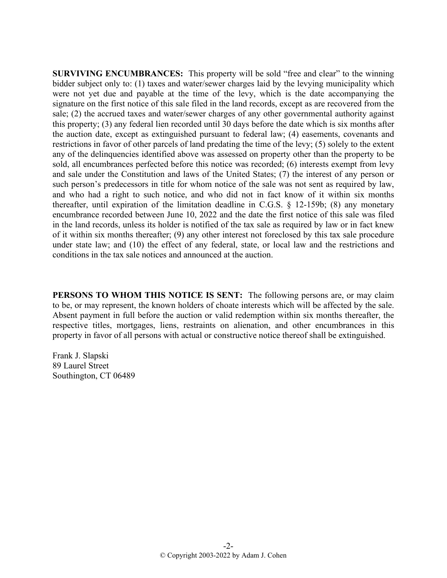**SURVIVING ENCUMBRANCES:** This property will be sold "free and clear" to the winning bidder subject only to: (1) taxes and water/sewer charges laid by the levying municipality which were not yet due and payable at the time of the levy, which is the date accompanying the signature on the first notice of this sale filed in the land records, except as are recovered from the sale; (2) the accrued taxes and water/sewer charges of any other governmental authority against this property; (3) any federal lien recorded until 30 days before the date which is six months after the auction date, except as extinguished pursuant to federal law; (4) easements, covenants and restrictions in favor of other parcels of land predating the time of the levy; (5) solely to the extent any of the delinquencies identified above was assessed on property other than the property to be sold, all encumbrances perfected before this notice was recorded; (6) interests exempt from levy and sale under the Constitution and laws of the United States; (7) the interest of any person or such person's predecessors in title for whom notice of the sale was not sent as required by law, and who had a right to such notice, and who did not in fact know of it within six months thereafter, until expiration of the limitation deadline in C.G.S. § 12-159b; (8) any monetary encumbrance recorded between June 10, 2022 and the date the first notice of this sale was filed in the land records, unless its holder is notified of the tax sale as required by law or in fact knew of it within six months thereafter; (9) any other interest not foreclosed by this tax sale procedure under state law; and (10) the effect of any federal, state, or local law and the restrictions and conditions in the tax sale notices and announced at the auction.

**PERSONS TO WHOM THIS NOTICE IS SENT:** The following persons are, or may claim to be, or may represent, the known holders of choate interests which will be affected by the sale. Absent payment in full before the auction or valid redemption within six months thereafter, the respective titles, mortgages, liens, restraints on alienation, and other encumbrances in this property in favor of all persons with actual or constructive notice thereof shall be extinguished.

Frank J. Slapski 89 Laurel Street Southington, CT 06489